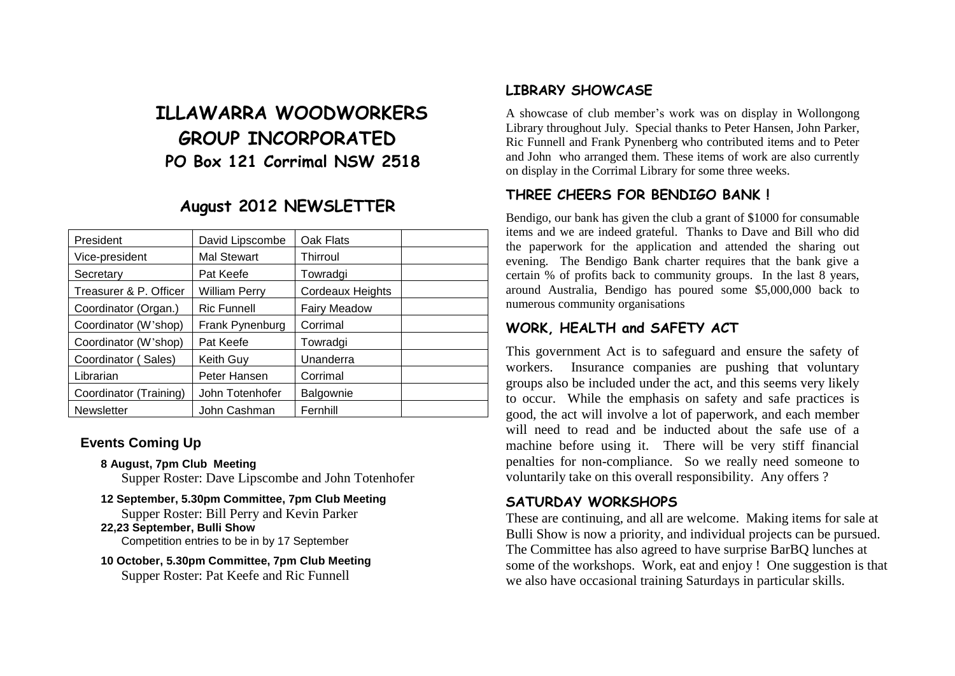# **ILLAWARRA WOODWORKERS GROUP INCORPORATED PO Box 121 Corrimal NSW 2518**

## **August 2012 NEWSLETTER**

| President              | David Lipscombe      | Oak Flats           |  |
|------------------------|----------------------|---------------------|--|
| Vice-president         | <b>Mal Stewart</b>   | Thirroul            |  |
| Secretary              | Pat Keefe            | Towradgi            |  |
| Treasurer & P. Officer | <b>William Perry</b> | Cordeaux Heights    |  |
| Coordinator (Organ.)   | <b>Ric Funnell</b>   | <b>Fairy Meadow</b> |  |
| Coordinator (W'shop)   | Frank Pynenburg      | Corrimal            |  |
| Coordinator (W'shop)   | Pat Keefe            | Towradgi            |  |
| Coordinator (Sales)    | Keith Guy            | Unanderra           |  |
| Librarian              | Peter Hansen         | Corrimal            |  |
| Coordinator (Training) | John Totenhofer      | Balgownie           |  |
| <b>Newsletter</b>      | John Cashman         | Fernhill            |  |

#### **Events Coming Up**

**8 August, 7pm Club Meeting**

Supper Roster: Dave Lipscombe and John Totenhofer

**12 September, 5.30pm Committee, 7pm Club Meeting** Supper Roster: Bill Perry and Kevin Parker **22,23 September, Bulli Show**

Competition entries to be in by 17 September

**10 October, 5.30pm Committee, 7pm Club Meeting** Supper Roster: Pat Keefe and Ric Funnell

### **LIBRARY SHOWCASE**

A showcase of club member's work was on display in Wollongong Library throughout July. Special thanks to Peter Hansen, John Parker, Ric Funnell and Frank Pynenberg who contributed items and to Peter and John who arranged them. These items of work are also currently on display in the Corrimal Library for some three weeks.

## **THREE CHEERS FOR BENDIGO BANK !**

Bendigo, our bank has given the club a grant of \$1000 for consumable items and we are indeed grateful. Thanks to Dave and Bill who did the paperwork for the application and attended the sharing out evening. The Bendigo Bank charter requires that the bank give a certain % of profits back to community groups. In the last 8 years, around Australia, Bendigo has poured some \$5,000,000 back to numerous community organisations

### **WORK, HEALTH and SAFETY ACT**

This government Act is to safeguard and ensure the safety of workers. Insurance companies are pushing that voluntary groups also be included under the act, and this seems very likely to occur. While the emphasis on safety and safe practices is good, the act will involve a lot of paperwork, and each member will need to read and be inducted about the safe use of a machine before using it. There will be very stiff financial penalties for non-compliance. So we really need someone to voluntarily take on this overall responsibility. Any offers ?

#### **SATURDAY WORKSHOPS**

These are continuing, and all are welcome. Making items for sale at Bulli Show is now a priority, and individual projects can be pursued. The Committee has also agreed to have surprise BarBQ lunches at some of the workshops. Work, eat and enjoy ! One suggestion is that we also have occasional training Saturdays in particular skills.